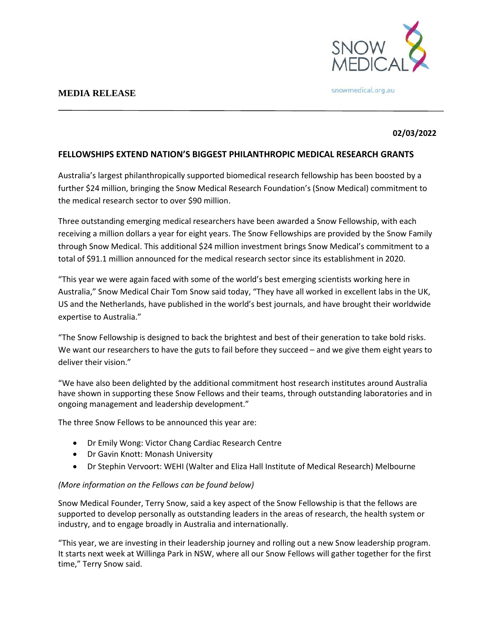

snowmedical.org.au

# **MEDIA RELEASE**

# **02/03/2022**

## **FELLOWSHIPS EXTEND NATION'S BIGGEST PHILANTHROPIC MEDICAL RESEARCH GRANTS**

Australia's largest philanthropically supported biomedical research fellowship has been boosted by a further \$24 million, bringing the Snow Medical Research Foundation's (Snow Medical) commitment to the medical research sector to over \$90 million.

Three outstanding emerging medical researchers have been awarded a Snow Fellowship, with each receiving a million dollars a year for eight years. The Snow Fellowships are provided by the Snow Family through Snow Medical. This additional \$24 million investment brings Snow Medical's commitment to a total of \$91.1 million announced for the medical research sector since its establishment in 2020.

"This year we were again faced with some of the world's best emerging scientists working here in Australia," Snow Medical Chair Tom Snow said today, "They have all worked in excellent labs in the UK, US and the Netherlands, have published in the world's best journals, and have brought their worldwide expertise to Australia."

"The Snow Fellowship is designed to back the brightest and best of their generation to take bold risks. We want our researchers to have the guts to fail before they succeed – and we give them eight years to deliver their vision."

"We have also been delighted by the additional commitment host research institutes around Australia have shown in supporting these Snow Fellows and their teams, through outstanding laboratories and in ongoing management and leadership development."

The three Snow Fellows to be announced this year are:

- Dr Emily Wong: Victor Chang Cardiac Research Centre
- Dr Gavin Knott: Monash University
- Dr Stephin Vervoort: WEHI (Walter and Eliza Hall Institute of Medical Research) Melbourne

### *(More information on the Fellows can be found below)*

Snow Medical Founder, Terry Snow, said a key aspect of the Snow Fellowship is that the fellows are supported to develop personally as outstanding leaders in the areas of research, the health system or industry, and to engage broadly in Australia and internationally.

"This year, we are investing in their leadership journey and rolling out a new Snow leadership program. It starts next week at Willinga Park in NSW, where all our Snow Fellows will gather together for the first time," Terry Snow said.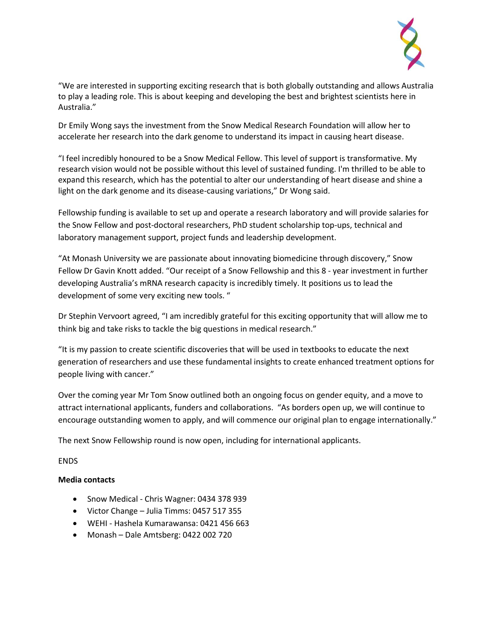

"We are interested in supporting exciting research that is both globally outstanding and allows Australia to play a leading role. This is about keeping and developing the best and brightest scientists here in Australia."

Dr Emily Wong says the investment from the Snow Medical Research Foundation will allow her to accelerate her research into the dark genome to understand its impact in causing heart disease.

"I feel incredibly honoured to be a Snow Medical Fellow. This level of support is transformative. My research vision would not be possible without this level of sustained funding. I'm thrilled to be able to expand this research, which has the potential to alter our understanding of heart disease and shine a light on the dark genome and its disease-causing variations," Dr Wong said.

Fellowship funding is available to set up and operate a research laboratory and will provide salaries for the Snow Fellow and post-doctoral researchers, PhD student scholarship top-ups, technical and laboratory management support, project funds and leadership development.

"At Monash University we are passionate about innovating biomedicine through discovery," Snow Fellow Dr Gavin Knott added. "Our receipt of a Snow Fellowship and this 8 - year investment in further developing Australia's mRNA research capacity is incredibly timely. It positions us to lead the development of some very exciting new tools. "

Dr Stephin Vervoort agreed, "I am incredibly grateful for this exciting opportunity that will allow me to think big and take risks to tackle the big questions in medical research."

"It is my passion to create scientific discoveries that will be used in textbooks to educate the next generation of researchers and use these fundamental insights to create enhanced treatment options for people living with cancer."

Over the coming year Mr Tom Snow outlined both an ongoing focus on gender equity, and a move to attract international applicants, funders and collaborations. "As borders open up, we will continue to encourage outstanding women to apply, and will commence our original plan to engage internationally."

The next Snow Fellowship round is now open, including for international applicants.

ENDS

### **Media contacts**

- Snow Medical Chris Wagner: 0434 378 939
- Victor Change Julia Timms: 0457 517 355
- WEHI Hashela Kumarawansa: 0421 456 663
- Monash Dale Amtsberg: 0422 002 720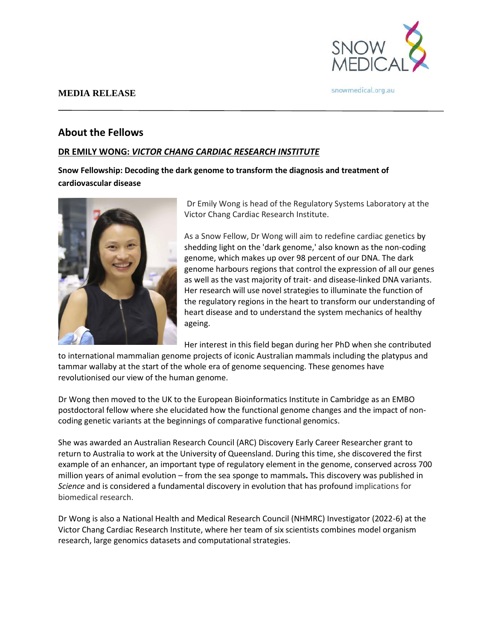

## **MEDIA RELEASE**

#### snowmedical.org.au

# **About the Fellows**

# **DR EMILY WONG:** *VICTOR CHANG CARDIAC RESEARCH INSTITUTE*

**Snow Fellowship: Decoding the dark genome to transform the diagnosis and treatment of cardiovascular disease**



Dr Emily Wong is head of the Regulatory Systems Laboratory at the Victor Chang Cardiac Research Institute.

As a Snow Fellow, Dr Wong will aim to redefine cardiac genetics by shedding light on the 'dark genome,' also known as the non-coding genome, which makes up over 98 percent of our DNA. The dark genome harbours regions that control the expression of all our genes as well as the vast majority of trait- and disease-linked DNA variants. Her research will use novel strategies to illuminate the function of the regulatory regions in the heart to transform our understanding of heart disease and to understand the system mechanics of healthy ageing.

Her interest in this field began during her PhD when she contributed

to international mammalian genome projects of iconic Australian mammals including the platypus and tammar wallaby at the start of the whole era of genome sequencing. These genomes have revolutionised our view of the human genome.

Dr Wong then moved to the UK to the European Bioinformatics Institute in Cambridge as an EMBO postdoctoral fellow where she elucidated how the functional genome changes and the impact of noncoding genetic variants at the beginnings of comparative functional genomics.

She was awarded an Australian Research Council (ARC) Discovery Early Career Researcher grant to return to Australia to work at the University of Queensland. During this time, she discovered the first example of an enhancer, an important type of regulatory element in the genome, conserved across 700 million years of animal evolution – from the sea sponge to mammals**.** This discovery was published in *Science* and is considered a fundamental discovery in evolution that has profound implications for biomedical research.

Dr Wong is also a National Health and Medical Research Council (NHMRC) Investigator (2022-6) at the Victor Chang Cardiac Research Institute, where her team of six scientists combines model organism research, large genomics datasets and computational strategies.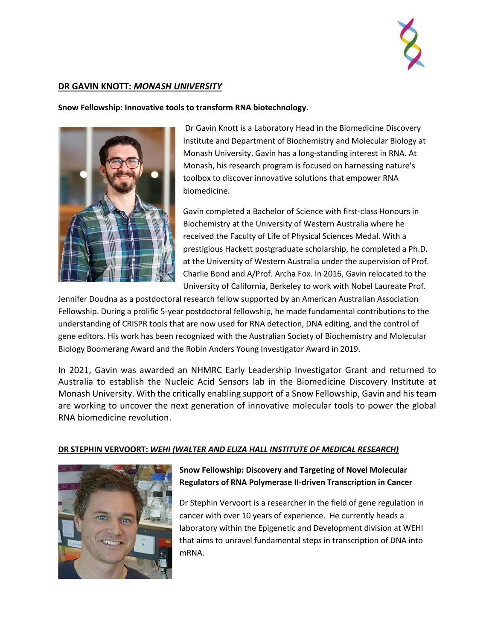

## **DR GAVIN KNOTT:** *MONASH UNIVERSITY*

**Snow Fellowship: Innovative tools to transform RNA biotechnology.**



Dr Gavin Knott is a Laboratory Head in the Biomedicine Discovery Institute and Department of Biochemistry and Molecular Biology at Monash University. Gavin has a long-standing interest in RNA. At Monash, his research program is focused on harnessing nature's toolbox to discover innovative solutions that empower RNA biomedicine.

Gavin completed a Bachelor of Science with first-class Honours in Biochemistry at the University of Western Australia where he received the Faculty of Life of Physical Sciences Medal. With a prestigious Hackett postgraduate scholarship, he completed a Ph.D. at the University of Western Australia under the supervision of Prof. Charlie Bond and A/Prof. Archa Fox. In 2016, Gavin relocated to the University of California, Berkeley to work with Nobel Laureate Prof.

Jennifer Doudna as a postdoctoral research fellow supported by an American Australian Association Fellowship. During a prolific 5-year postdoctoral fellowship, he made fundamental contributions to the understanding of CRISPR tools that are now used for RNA detection, DNA editing, and the control of gene editors. His work has been recognized with the Australian Society of Biochemistry and Molecular Biology Boomerang Award and the Robin Anders Young Investigator Award in 2019.

In 2021, Gavin was awarded an NHMRC Early Leadership Investigator Grant and returned to Australia to establish the Nucleic Acid Sensors lab in the Biomedicine Discovery Institute at Monash University. With the critically enabling support of a Snow Fellowship, Gavin and his team are working to uncover the next generation of innovative molecular tools to power the global RNA biomedicine revolution.

### **DR STEPHIN VERVOORT:** *WEHI (WALTER AND ELIZA HALL INSTITUTE OF MEDICAL RESEARCH)*



# **Snow Fellowship: Discovery and Targeting of Novel Molecular Regulators of RNA Polymerase II-driven Transcription in Cancer**

Dr Stephin Vervoort is a researcher in the field of gene regulation in cancer with over 10 years of experience. He currently heads a laboratory within the Epigenetic and Development division at WEHI that aims to unravel fundamental steps in transcription of DNA into mRNA.